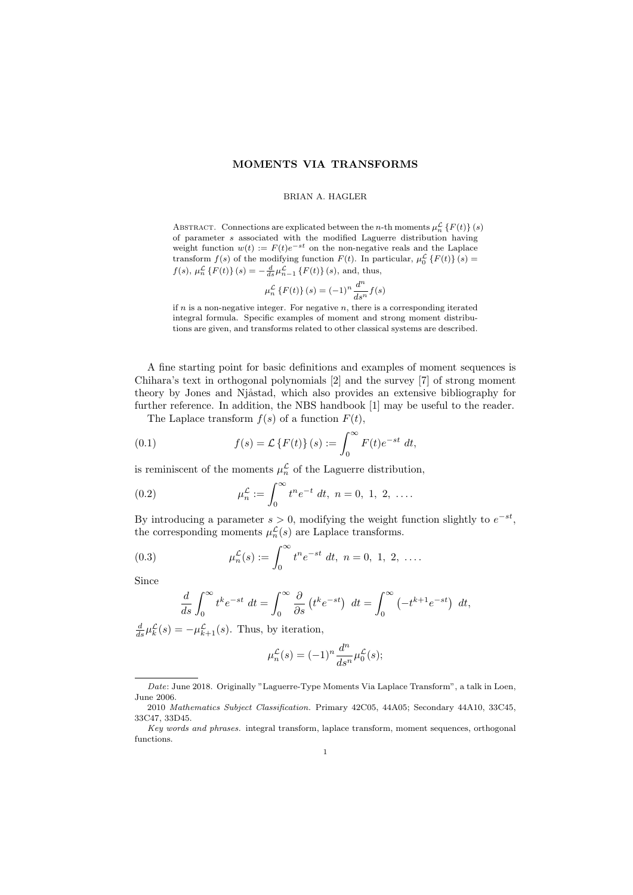## **MOMENTS VIA TRANSFORMS**

#### BRIAN A. HAGLER

ABSTRACT. Connections are explicated between the *n*-th moments  $\mu_n^{\mathcal{L}}\left\{F(t)\right\}(s)$ of parameter *s* associated with the modified Laguerre distribution having weight function  $w(t) := F(t)e^{-st}$  on the non-negative reals and the Laplace transform  $f(s)$  of the modifying function  $F(t)$ . In particular,  $\mu_0^L \{F(t)\}(s) =$  $f(s)$ ,  $\mu_n^{\mathcal{L}} \{F(t)\}(s) = -\frac{d}{ds} \mu_{n-1}^{\mathcal{L}} \{F(t)\}(s)$ , and, thus,

$$
\mu_n^{\mathcal{L}}\left\{F(t)\right\}(s) = (-1)^n \frac{d^n}{ds^n} f(s)
$$

if *n* is a non-negative integer. For negative *n*, there is a corresponding iterated integral formula. Specific examples of moment and strong moment distributions are given, and transforms related to other classical systems are described.

A fine starting point for basic definitions and examples of moment sequences is Chihara's text in orthogonal polynomials [2] and the survey [7] of strong moment theory by Jones and Njåstad, which also provides an extensive bibliography for further reference. In addition, the NBS handbook [1] may be useful to the reader.

The Laplace transform  $f(s)$  of a function  $F(t)$ ,

(0.1) 
$$
f(s) = \mathcal{L}\left\{F(t)\right\}(s) := \int_0^\infty F(t)e^{-st} dt,
$$

is reminiscent of the moments  $\mu_n^{\mathcal{L}}$  of the Laguerre distribution,

(0.2) 
$$
\mu_n^{\mathcal{L}} := \int_0^\infty t^n e^{-t} \ dt, \ n = 0, \ 1, \ 2, \ \ldots.
$$

By introducing a parameter  $s > 0$ , modifying the weight function slightly to  $e^{-st}$ , the corresponding moments  $\mu_n^{\mathcal{L}}(s)$  are Laplace transforms.

(0.3) 
$$
\mu_n^{\mathcal{L}}(s) := \int_0^\infty t^n e^{-st} dt, \ n = 0, 1, 2, \ \ldots
$$

Since

$$
\frac{d}{ds} \int_0^\infty t^k e^{-st} dt = \int_0^\infty \frac{\partial}{\partial s} \left( t^k e^{-st} \right) dt = \int_0^\infty \left( -t^{k+1} e^{-st} \right) dt,
$$

 $\frac{d}{ds}\mu_k^{\mathcal{L}}(s) = -\mu_{k+1}^{\mathcal{L}}(s)$ . Thus, by iteration,

$$
\mu_n^{\mathcal{L}}(s) = (-1)^n \frac{d^n}{ds^n} \mu_0^{\mathcal{L}}(s);
$$

*Date*: June 2018. Originally "Laguerre-Type Moments Via Laplace Transform", a talk in Loen, June 2006.

<sup>2010</sup> *Mathematics Subject Classification.* Primary 42C05, 44A05; Secondary 44A10, 33C45, 33C47, 33D45.

*Key words and phrases.* integral transform, laplace transform, moment sequences, orthogonal functions.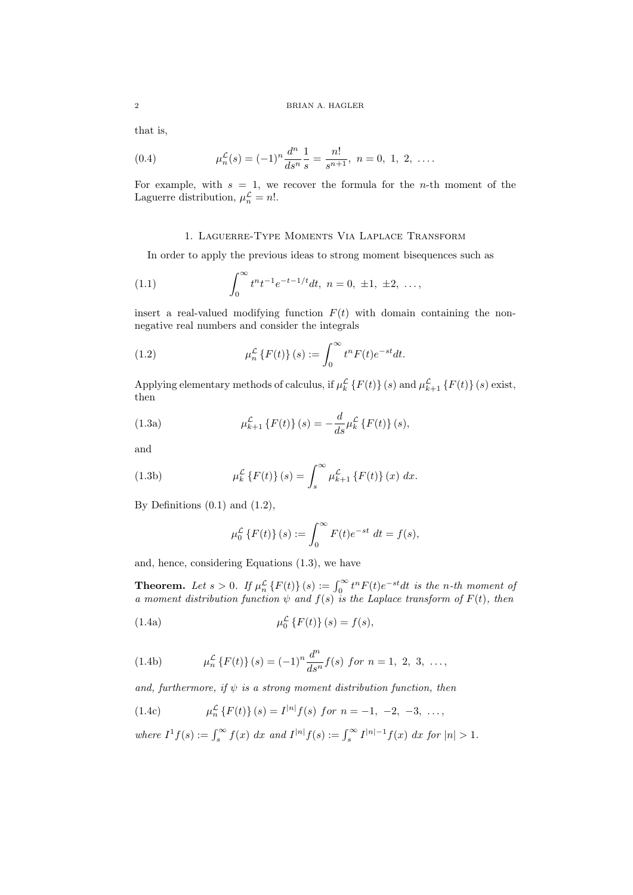that is,

(0.4) 
$$
\mu_n^{\mathcal{L}}(s) = (-1)^n \frac{d^n}{ds^n} \frac{1}{s} = \frac{n!}{s^{n+1}}, \ n = 0, 1, 2, \ \ldots.
$$

For example, with *s* = 1, we recover the formula for the *n*-th moment of the Laguerre distribution,  $\mu_n^{\mathcal{L}} = n!$ .

# 1. Laguerre-Type Moments Via Laplace Transform

In order to apply the previous ideas to strong moment bisequences such as

(1.1) 
$$
\int_0^\infty t^n t^{-1} e^{-t-1/t} dt, \ n = 0, \ \pm 1, \ \pm 2, \ \ldots,
$$

insert a real-valued modifying function  $F(t)$  with domain containing the nonnegative real numbers and consider the integrals

(1.2) 
$$
\mu_n^{\mathcal{L}}\left\{F(t)\right\}(s) := \int_0^\infty t^n F(t)e^{-st}dt.
$$

Applying elementary methods of calculus, if  $\mu_k^{\mathcal{L}}\left\{F(t)\right\}(s)$  and  $\mu_{k+1}^{\mathcal{L}}\left\{F(t)\right\}(s)$  exist, then

(1.3a) 
$$
\mu_{k+1}^{\mathcal{L}}\left\{F(t)\right\}(s) = -\frac{d}{ds}\mu_{k}^{\mathcal{L}}\left\{F(t)\right\}(s),
$$

and

(1.3b) 
$$
\mu_k^{\mathcal{L}} \{ F(t) \} (s) = \int_s^{\infty} \mu_{k+1}^{\mathcal{L}} \{ F(t) \} (x) dx.
$$

By Definitions  $(0.1)$  and  $(1.2)$ ,

$$
\mu_0^{\mathcal{L}}\left\{F(t)\right\}(s) := \int_0^\infty F(t)e^{-st} dt = f(s),
$$

and, hence, considering Equations (1.3), we have

**Theorem.** Let  $s > 0$ . If  $\mu_n^{\mathcal{L}} \{F(t)\}(s) := \int_0^\infty t^n F(t) e^{-st} dt$  is the n-th moment of *a* moment distribution function  $\psi$  and  $f(s)$  is the Laplace transform of  $F(t)$ , then

(1.4a) 
$$
\mu_0^{\mathcal{L}} \{ F(t) \} (s) = f(s),
$$

(1.4b) 
$$
\mu_n^{\mathcal{L}}\left\{F(t)\right\}(s) = (-1)^n \frac{d^n}{ds^n} f(s) \text{ for } n = 1, 2, 3, \dots,
$$

*and, furthermore, if ψ is a strong moment distribution function, then*

(1.4c) 
$$
\mu_n^{\mathcal{L}}\left\{F(t)\right\}(s) = I^{|n|}f(s) \text{ for } n = -1, -2, -3, \dots,
$$

where  $I^1 f(s) := \int_s^{\infty} f(x) dx$  and  $I^{|n|} f(s) := \int_s^{\infty} I^{|n|-1} f(x) dx$  for  $|n| > 1$ .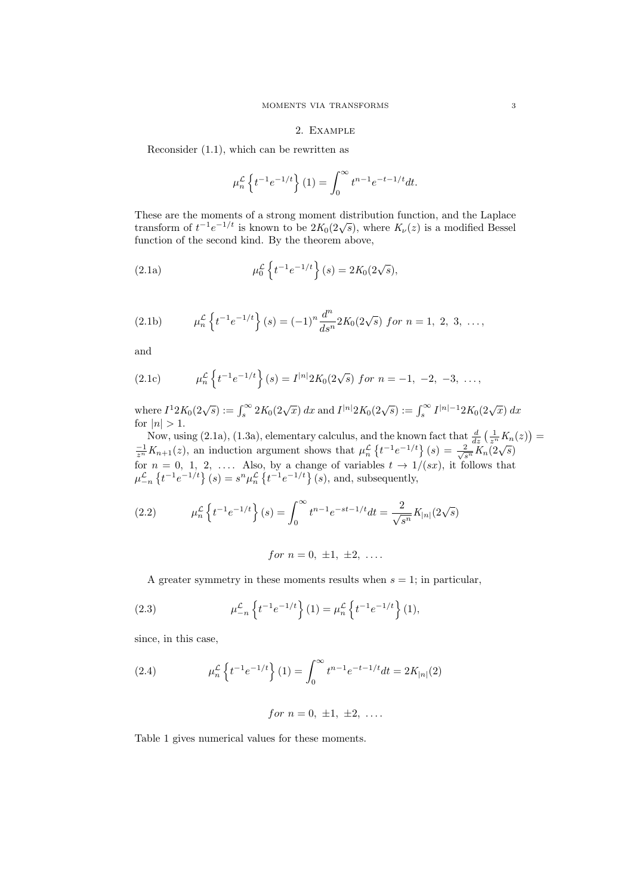# 2. Example

Reconsider (1.1), which can be rewritten as

$$
\mu_n^{\mathcal{L}} \left\{ t^{-1} e^{-1/t} \right\} (1) = \int_0^\infty t^{n-1} e^{-t-1/t} dt.
$$

These are the moments of a strong moment distribution function, and the Laplace transform of  $t^{-1}e^{-1/t}$  is known to be  $2K_0(2\sqrt{s})$ , where  $K_\nu(z)$  is a modified Bessel function of the second kind. By the theorem above,

(2.1a) 
$$
\mu_0^{\mathcal{L}} \left\{ t^{-1} e^{-1/t} \right\} (s) = 2K_0(2\sqrt{s}),
$$

(2.1b) 
$$
\mu_n^{\mathcal{L}} \left\{ t^{-1} e^{-1/t} \right\} (s) = (-1)^n \frac{d^n}{ds^n} 2K_0(2\sqrt{s}) \text{ for } n = 1, 2, 3, \dots,
$$

and

(2.1c) 
$$
\mu_n^{\mathcal{L}} \left\{ t^{-1} e^{-1/t} \right\} (s) = I^{|n|} 2K_0(2\sqrt{s}) \text{ for } n = -1, -2, -3, \dots,
$$

where  $I^1 2K_0(2\sqrt{s}) := \int_s^{\infty} 2K_0(2\sqrt{x}) dx$  and  $I^{|n|} 2K_0(2\sqrt{s}) := \int_s^{\infty} I^{|n|-1} 2K_0(2\sqrt{x}) dx$ for  $|n| > 1$ .

Now, using (2.1a), (1.3a), elementary calculus, and the known fact that  $\frac{d}{dz} \left( \frac{1}{z^n} K_n(z) \right) =$  $\frac{1}{z^n}K_{n+1}(z)$ , an induction argument shows that  $\mu_n^{\mathcal{L}}\left\{t^{-1}e^{-1/t}\right\}(s) = \frac{2}{\sqrt{s^n}}K_n(2\sqrt{s})$ for  $n = 0, 1, 2, \ldots$  Also, by a change of variables  $t \to 1/(sx)$ , it follows that  $\mu_{-n}^{\mathcal{L}}\left\{t^{-1}e^{-1/t}\right\}(s) = s^n\mu_n^{\mathcal{L}}\left\{t^{-1}e^{-1/t}\right\}(s)$ , and, subsequently,

(2.2) 
$$
\mu_n^{\mathcal{L}} \left\{ t^{-1} e^{-1/t} \right\} (s) = \int_0^\infty t^{n-1} e^{-st - 1/t} dt = \frac{2}{\sqrt{s^n}} K_{|n|} (2\sqrt{s})
$$

for 
$$
n = 0, \pm 1, \pm 2, \ldots
$$

A greater symmetry in these moments results when  $s = 1$ ; in particular,

(2.3) 
$$
\mu_{-n}^{\mathcal{L}} \left\{ t^{-1} e^{-1/t} \right\} (1) = \mu_n^{\mathcal{L}} \left\{ t^{-1} e^{-1/t} \right\} (1),
$$

since, in this case,

(2.4) 
$$
\mu_n^{\mathcal{L}} \left\{ t^{-1} e^{-1/t} \right\} (1) = \int_0^\infty t^{n-1} e^{-t-1/t} dt = 2K_{|n|}(2)
$$

*for*  $n = 0, \pm 1, \pm 2, \ldots$ 

Table 1 gives numerical values for these moments.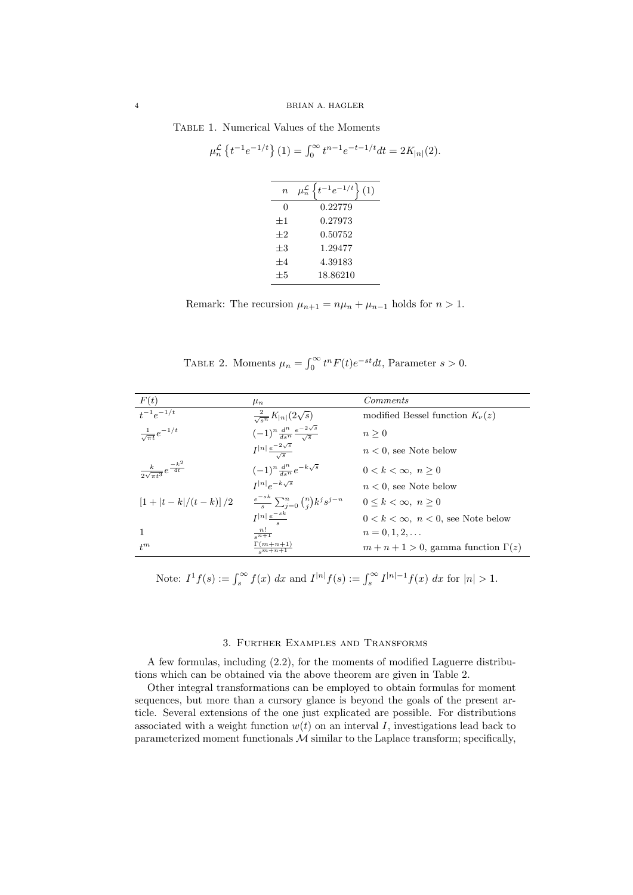Table 1. Numerical Values of the Moments

|         | $\mu_n^{\mathcal{L}}\left\{t^{-1}e^{-1/t}\right\}(1) = \int_0^\infty t^{n-1}e^{-t-1/t}dt = 2K_{ n }(2).$ |  |
|---------|----------------------------------------------------------------------------------------------------------|--|
|         | $n \mu_n^{\mathcal{L}} \left\{ t^{-1} e^{-1/t} \right\} (1)$                                             |  |
| 0       | 0.22779                                                                                                  |  |
| $+1$    | 0.27973                                                                                                  |  |
| $+2$    | 0.50752                                                                                                  |  |
| $\pm 3$ | 1.29477                                                                                                  |  |
| $+4$    | 4.39183                                                                                                  |  |
| $\pm 5$ | 18.86210                                                                                                 |  |

Remark: The recursion  $\mu_{n+1} = n\mu_n + \mu_{n-1}$  holds for  $n > 1$ .

TABLE 2. Moments  $\mu_n = \int_0^\infty t^n F(t) e^{-st} dt$ , Parameter  $s > 0$ .

| F(t)                                           | $\mu_n$                                                   | <i>Comments</i>                             |
|------------------------------------------------|-----------------------------------------------------------|---------------------------------------------|
| $t^{-1}e^{-1/t}$                               | $\frac{2}{\sqrt{s^n}}K_{ n }(2\sqrt{s})$                  | modified Bessel function $K_{\nu}(z)$       |
| $\frac{1}{\sqrt{\pi t}}e^{-1/t}$               | $(-1)^n \frac{d^n}{ds^n} \frac{e^{-2\sqrt{s}}}{\sqrt{s}}$ | $n \geq 0$                                  |
|                                                | $I^{ n } \frac{e^{-2\sqrt{s}}}{\sqrt{s}}$                 | $n < 0$ , see Note below                    |
| $\frac{k}{2\sqrt{\pi t^3}}e^{\frac{-k^2}{4t}}$ | $(-1)^n \frac{d^n}{ds^n} e^{-k\sqrt{s}}$                  | $0 < k < \infty$ , $n > 0$                  |
|                                                | $I^{ n }e^{-k\sqrt{s}}$                                   | $n < 0$ , see Note below                    |
| $[1+ t-k /(t-k)]/2$                            | $\frac{e^{-sk}}{s}\sum_{i=0}^n\binom{n}{i}k^js^{j-n}$     | $0 \leq k \leq \infty$ , $n \geq 0$         |
|                                                | $I^{ n }\frac{e^{-sk}}{e^{-s}}$                           | $0 < k < \infty$ , $n < 0$ , see Note below |
| $\mathbf{1}$                                   | $\frac{n!}{s^{n+1}}$                                      | $n = 0, 1, 2, \ldots$                       |
| $t^m$                                          | $\frac{\Gamma(m+n+1)}{s^{m+n+1}}$                         | $m+n+1>0$ , gamma function $\Gamma(z)$      |

Note:  $I^1 f(s) := \int_s^{\infty} f(x) dx$  and  $I^{|n|} f(s) := \int_s^{\infty} I^{|n|-1} f(x) dx$  for  $|n| > 1$ .

### 3. Further Examples and Transforms

A few formulas, including (2.2), for the moments of modified Laguerre distributions which can be obtained via the above theorem are given in Table 2.

Other integral transformations can be employed to obtain formulas for moment sequences, but more than a cursory glance is beyond the goals of the present article. Several extensions of the one just explicated are possible. For distributions associated with a weight function  $w(t)$  on an interval *I*, investigations lead back to parameterized moment functionals  $M$  similar to the Laplace transform; specifically,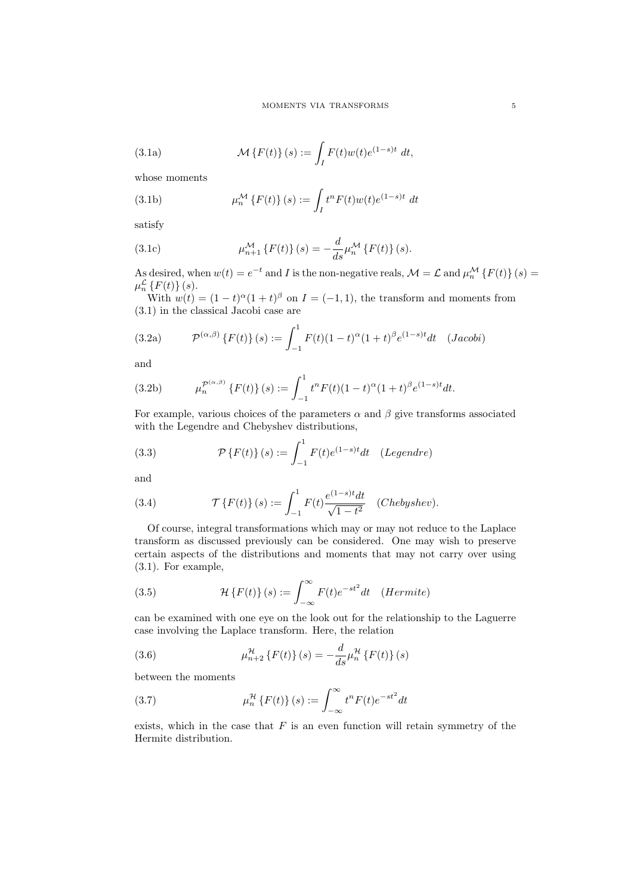(3.1a) 
$$
\mathcal{M}\left\{F(t)\right\}(s) := \int_I F(t)w(t)e^{(1-s)t} dt,
$$

whose moments

(3.1b) 
$$
\mu_n^{\mathcal{M}} \{ F(t) \} (s) := \int_I t^n F(t) w(t) e^{(1-s)t} dt
$$

satisfy

(3.1c) 
$$
\mu_{n+1}^{\mathcal{M}}\left\{F(t)\right\}(s) = -\frac{d}{ds}\mu_{n}^{\mathcal{M}}\left\{F(t)\right\}(s).
$$

As desired, when  $w(t) = e^{-t}$  and *I* is the non-negative reals,  $\mathcal{M} = \mathcal{L}$  and  $\mu_n^{\mathcal{M}} \{F(t)\}(s) =$  $\mu_n^{\mathcal{L}}\left\{F(t)\right\}(s).$ 

With  $w(t) = (1 - t)^{\alpha}(1 + t)^{\beta}$  on  $I = (-1, 1)$ , the transform and moments from (3.1) in the classical Jacobi case are

(3.2a) 
$$
\mathcal{P}^{(\alpha,\beta)}\left\{F(t)\right\}(s) := \int_{-1}^{1} F(t)(1-t)^{\alpha}(1+t)^{\beta}e^{(1-s)t}dt \quad (Jacobi)
$$

and

(3.2b) 
$$
\mu_n^{\mathcal{P}^{(\alpha,\beta)}}\left\{F(t)\right\}(s) := \int_{-1}^1 t^n F(t)(1-t)^\alpha (1+t)^\beta e^{(1-s)t} dt.
$$

For example, various choices of the parameters  $\alpha$  and  $\beta$  give transforms associated with the Legendre and Chebyshev distributions,

(3.3) 
$$
\mathcal{P}\left\{F(t)\right\}(s) := \int_{-1}^{1} F(t)e^{(1-s)t}dt \quad (Legendre)
$$

and

(3.4) 
$$
\mathcal{T}\left\{F(t)\right\}(s) := \int_{-1}^{1} F(t) \frac{e^{(1-s)t} dt}{\sqrt{1-t^2}} \quad (Chebyshev).
$$

Of course, integral transformations which may or may not reduce to the Laplace transform as discussed previously can be considered. One may wish to preserve certain aspects of the distributions and moments that may not carry over using (3.1). For example,

(3.5) 
$$
\mathcal{H}\left\{F(t)\right\}(s) := \int_{-\infty}^{\infty} F(t)e^{-st^2}dt \quad (Hermite)
$$

can be examined with one eye on the look out for the relationship to the Laguerre case involving the Laplace transform. Here, the relation

(3.6) 
$$
\mu_{n+2}^{\mathcal{H}}\left\{F(t)\right\}(s) = -\frac{d}{ds}\mu_n^{\mathcal{H}}\left\{F(t)\right\}(s)
$$

between the moments

(3.7) 
$$
\mu_n^{\mathcal{H}}\left\{F(t)\right\}(s) := \int_{-\infty}^{\infty} t^n F(t)e^{-st^2}dt
$$

exists, which in the case that  $F$  is an even function will retain symmetry of the Hermite distribution.